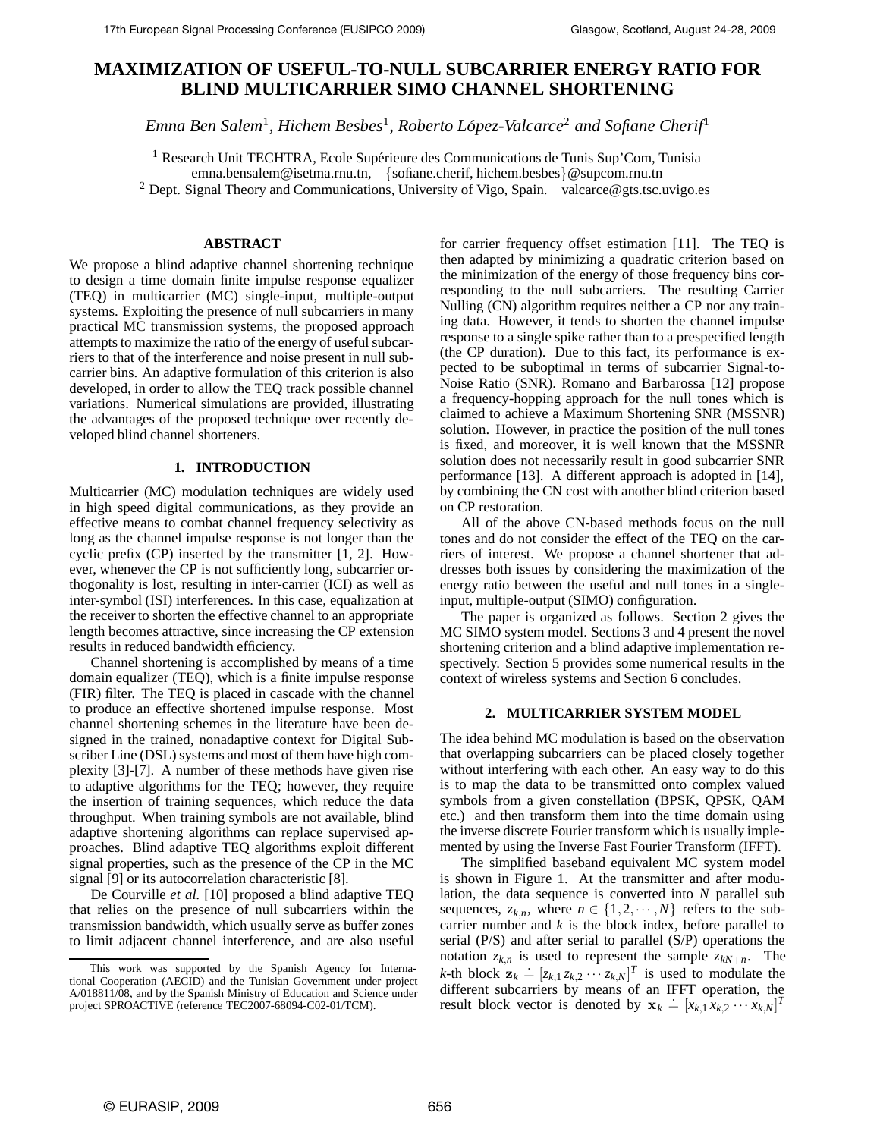# **MAXIMIZATION OF USEFUL-TO-NULL SUBCARRIER ENERGY RATIO FOR BLIND MULTICARRIER SIMO CHANNEL SHORTENING**

*Emna Ben Salem*<sup>1</sup> *, Hichem Besbes*<sup>1</sup>*, Roberto Lopez-Valcarce ´* <sup>2</sup> *and Sofiane Cherif*<sup>1</sup>

<sup>1</sup> Research Unit TECHTRA, Ecole Supérieure des Communications de Tunis Sup'Com, Tunisia emna.bensalem@isetma.rnu.tn, {sofiane.cherif, hichem.besbes}@supcom.rnu.tn

<sup>2</sup> Dept. Signal Theory and Communications, University of Vigo, Spain. valcarce@gts.tsc.uvigo.es

## **ABSTRACT**

We propose a blind adaptive channel shortening technique to design a time domain finite impulse response equalizer (TEQ) in multicarrier (MC) single-input, multiple-output systems. Exploiting the presence of null subcarriers in many practical MC transmission systems, the proposed approach attempts to maximize the ratio of the energy of useful subcarriers to that of the interference and noise present in null subcarrier bins. An adaptive formulation of this criterion is also developed, in order to allow the TEQ track possible channel variations. Numerical simulations are provided, illustrating the advantages of the proposed technique over recently developed blind channel shorteners.

# **1. INTRODUCTION**

Multicarrier (MC) modulation techniques are widely used in high speed digital communications, as they provide an effective means to combat channel frequency selectivity as long as the channel impulse response is not longer than the cyclic prefix (CP) inserted by the transmitter [1, 2]. However, whenever the CP is not sufficiently long, subcarrier orthogonality is lost, resulting in inter-carrier (ICI) as well as inter-symbol (ISI) interferences. In this case, equalization at the receiver to shorten the effective channel to an appropriate length becomes attractive, since increasing the CP extension results in reduced bandwidth efficiency.

Channel shortening is accomplished by means of a time domain equalizer (TEQ), which is a finite impulse response (FIR) filter. The TEQ is placed in cascade with the channel to produce an effective shortened impulse response. Most channel shortening schemes in the literature have been designed in the trained, nonadaptive context for Digital Subscriber Line (DSL) systems and most of them have high complexity [3]-[7]. A number of these methods have given rise to adaptive algorithms for the TEQ; however, they require the insertion of training sequences, which reduce the data throughput. When training symbols are not available, blind adaptive shortening algorithms can replace supervised approaches. Blind adaptive TEQ algorithms exploit different signal properties, such as the presence of the CP in the MC signal [9] or its autocorrelation characteristic [8].

De Courville *et al.* [10] proposed a blind adaptive TEQ that relies on the presence of null subcarriers within the transmission bandwidth, which usually serve as buffer zones to limit adjacent channel interference, and are also useful for carrier frequency offset estimation [11]. The TEQ is then adapted by minimizing a quadratic criterion based on the minimization of the energy of those frequency bins corresponding to the null subcarriers. The resulting Carrier Nulling (CN) algorithm requires neither a CP nor any training data. However, it tends to shorten the channel impulse response to a single spike rather than to a prespecified length (the CP duration). Due to this fact, its performance is expected to be suboptimal in terms of subcarrier Signal-to-Noise Ratio (SNR). Romano and Barbarossa [12] propose a frequency-hopping approach for the null tones which is claimed to achieve a Maximum Shortening SNR (MSSNR) solution. However, in practice the position of the null tones is fixed, and moreover, it is well known that the MSSNR solution does not necessarily result in good subcarrier SNR performance [13]. A different approach is adopted in [14], by combining the CN cost with another blind criterion based on CP restoration.

All of the above CN-based methods focus on the null tones and do not consider the effect of the TEQ on the carriers of interest. We propose a channel shortener that addresses both issues by considering the maximization of the energy ratio between the useful and null tones in a singleinput, multiple-output (SIMO) configuration.

The paper is organized as follows. Section 2 gives the MC SIMO system model. Sections 3 and 4 present the novel shortening criterion and a blind adaptive implementation respectively. Section 5 provides some numerical results in the context of wireless systems and Section 6 concludes.

### **2. MULTICARRIER SYSTEM MODEL**

The idea behind MC modulation is based on the observation that overlapping subcarriers can be placed closely together without interfering with each other. An easy way to do this is to map the data to be transmitted onto complex valued symbols from a given constellation (BPSK, QPSK, QAM etc.) and then transform them into the time domain using the inverse discrete Fourier transform which is usually implemented by using the Inverse Fast Fourier Transform (IFFT).

The simplified baseband equivalent MC system model is shown in Figure 1. At the transmitter and after modulation, the data sequence is converted into *N* parallel sub sequences,  $z_{k,n}$ , where  $n \in \{1,2,\dots,N\}$  refers to the subcarrier number and  $k$  is the block index, before parallel to serial (P/S) and after serial to parallel (S/P) operations the notation  $z_{k,n}$  is used to represent the sample  $z_{kN+n}$ . The *k*-th block  $\mathbf{z}_k = [z_{k,1} z_{k,2} \cdots z_{k,N}]^T$  is used to modulate the different subcarriers by means of an IFFT operation the different subcarriers by means of an IFFT operation, the result block vector is denoted by  $\mathbf{x}_k = [x_{k,1} x_{k,2} \cdots x_{k,N}]^T$ 

This work was supported by the Spanish Agency for International Cooperation (AECID) and the Tunisian Government under project A/018811/08, and by the Spanish Ministry of Education and Science under project SPROACTIVE (reference TEC2007-68094-C02-01/TCM).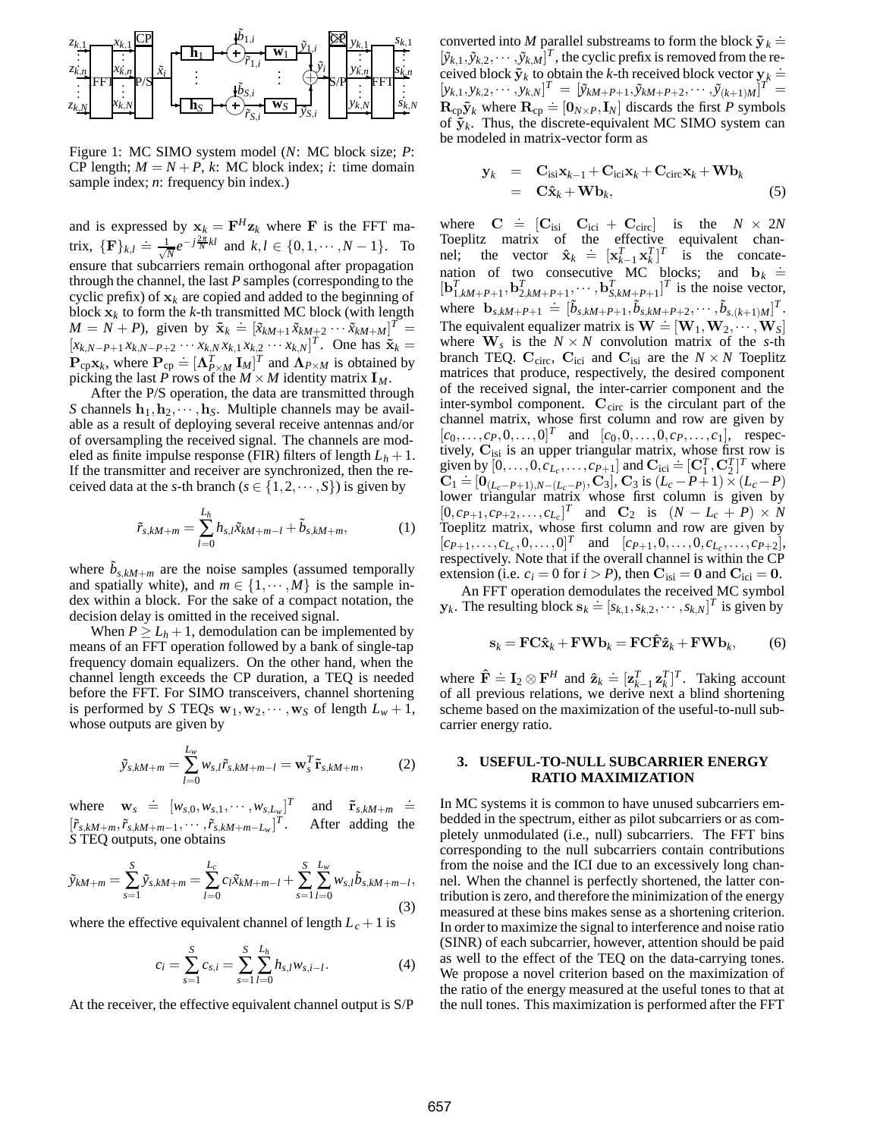

Figure 1: MC SIMO system model (*N*: MC block size; *P*: CP length;  $M = N + P$ , *k*: MC block index; *i*: time domain sample index; *n*: frequency bin index.)

and is expressed by  $\mathbf{x}_k = \mathbf{F}^H \mathbf{z}_k$  where **F** is the FFT matrix,  ${\{\mathbf{F}\}_k, l \doteq \frac{1}{\sqrt{N}} e^{-j\frac{2\pi}{N}kl}$  and  $k, l \in \{0, 1, \dots, N-1\}$ . To ensure that subcarriers remain orthogonal after propagation through the channel, the last *P* samples (corresponding to the cyclic prefix) of  $\mathbf{x}_k$  are copied and added to the beginning of block  $\mathbf{x}_k$  to form the *k*-th transmitted MC block (with length block  $\mathbf{x}_k$  to form the k-th transmitted MC block (with length  $M = N + P$ ), given by  $\tilde{\mathbf{x}}_k = [\tilde{x}_{kM+1} \tilde{x}_{kM+2} \cdots \tilde{x}_{kM+M}]^T =$  $[x_{k,N-P+1} x_{k,N-P+2} \cdots x_{k,N} x_{k,1} x_{k,2} \cdots x_{k,N}]^T$ . One has  $\tilde{\mathbf{x}}_k = \mathbf{P}$   $\mathbf{x}_k$  where  $\mathbf{P} \doteq [\mathbf{A}^T \quad \mathbf{L} \cdot \mathbf{L}]^T$  and  $\mathbf{A}_R$  is obtained by  $\mathbf{P}_{\text{cp}}\mathbf{x}_k$ , where  $\mathbf{P}_{\text{cp}} = [\mathbf{\Lambda}_{P\times M}^T \mathbf{I}_M]^T$  and  $\mathbf{\Lambda}_{P\times M}$  is obtained by picking the last P rows of the  $M \times M$  identity matrix  $\mathbf{I}_M$ . picking the last *P* rows of the  $M \times M$  identity matrix  $I_M$ .<br>After the P/S operation, the data are transmitted thro

After the P/S operation, the data are transmitted through *S* channels  $\mathbf{h}_1, \mathbf{h}_2, \cdots, \mathbf{h}_S$ . Multiple channels may be available as a result of deploying several receive antennas and/or of oversampling the received signal. The channels are modeled as finite impulse response (FIR) filters of length  $L_h + 1$ . If the transmitter and receiver are synchronized, then the received data at the *s*-th branch ( $s \in \{1, 2, \dots, S\}$ ) is given by

$$
\tilde{r}_{s,kM+m} = \sum_{l=0}^{L_h} h_{s,l} \tilde{x}_{kM+m-l} + \tilde{b}_{s,kM+m}, \qquad (1)
$$

where  $b_{s, kM+m}$  are the noise samples (assumed temporally and spatially white), and  $m \in \{1, \dots, M\}$  is the sample index within a block. For the sake of a compact notation, the decision delay is omitted in the received signal.

When  $P \ge L_h + 1$ , demodulation can be implemented by means of an FFT operation followed by a bank of single-tap frequency domain equalizers. On the other hand, when the channel length exceeds the CP duration, a TEQ is needed before the FFT. For SIMO transceivers, channel shortening is performed by *S* TEQs  $\mathbf{w}_1, \mathbf{w}_2, \cdots, \mathbf{w}_S$  of length  $L_w + 1$ , whose outputs are given by

$$
\tilde{y}_{s,kM+m} = \sum_{l=0}^{L_w} w_{s,l} \tilde{r}_{s,kM+m-l} = \mathbf{w}_s^T \tilde{\mathbf{r}}_{s,kM+m},
$$
 (2)

where  $\mathbf{w}_s \doteq [w_{s,0}, w_{s,1}, \cdots, w_{s,L_w}]^T$  and  $\tilde{\mathbf{r}}_{s,kM+m} \doteq \begin{bmatrix} \tilde{\mathbf{r}} & \cdots & \tilde{\mathbf{r}} & \mathbf{r} \end{bmatrix}$  $[\tilde{r}_{s,kM+m}, \tilde{r}_{s,kM+m-1}, \cdots, \tilde{r}_{s,kM+m-L_w}]^T$ . After adding the *S* TEQ outputs, one obtains

$$
\tilde{y}_{kM+m} = \sum_{s=1}^{S} \tilde{y}_{s,kM+m} = \sum_{l=0}^{L_c} c_l \tilde{x}_{kM+m-l} + \sum_{s=1}^{S} \sum_{l=0}^{L_w} w_{s,l} \tilde{b}_{s,kM+m-l},
$$
\n(3)

where the effective equivalent channel of length  $L_c + 1$  is

$$
c_i = \sum_{s=1}^{S} c_{s,i} = \sum_{s=1}^{S} \sum_{l=0}^{L_h} h_{s,l} w_{s,i-l}.
$$
 (4)

At the receiver, the effective equivalent channel output is S/P

converted into *M* parallel substreams to form the block  $\tilde{\mathbf{y}}_k \doteq$   $[\tilde{y}_{k+1}, \tilde{y}_{k+2}, \dots, \tilde{y}_{k,M}]^T$ , the cyclic prefix is removed from the re- $[\tilde{y}_{k,1}, \tilde{y}_{k,2}, \cdots, \tilde{y}_{k,M}]^T$ , the cyclic prefix is removed from the received block  $\tilde{\mathbf{y}}_k$  to obtain the *k*-th received block vector  $\mathbf{y}_k =$ <br>  $[\mathbf{y}_{k+1}, \mathbf{y}_{k+2}, \dots, \mathbf{y}_{k,N}]^T = [\tilde{\mathbf{y}}_{k+1}, \tilde{\mathbf{y}}_{k+1}, \tilde{\mathbf{y}}_{k+1}, \tilde{\mathbf{y}}_{k+1}, \dots, \tilde{\mathbf{y}}_{k+N}]^T$  $[y_{k,1}, y_{k,2}, \cdots, y_{k,N}]^T = [\tilde{y}_{kM+P+1}, \tilde{y}_{kM+P+2}, \cdots, \tilde{y}_{(k+1)M}]^T =$  $\mathbf{R}_{cp} \tilde{\mathbf{y}}_k$  where  $\mathbf{R}_{cp} = [\mathbf{0}_{N \times P}, \mathbf{I}_N]$  discards the first *P* symbols<br>of  $\tilde{\mathbf{y}}_k$ . Thus the discrete-equivalent MC SIMO system can of  $\tilde{\mathbf{y}}_k$ . Thus, the discrete-equivalent MC SIMO system can be modeled in matrix-vector form as

$$
\mathbf{y}_{k} = \mathbf{C}_{\text{isi}} \mathbf{x}_{k-1} + \mathbf{C}_{\text{ici}} \mathbf{x}_{k} + \mathbf{C}_{\text{circ}} \mathbf{x}_{k} + \mathbf{W} \mathbf{b}_{k} \n= \mathbf{C} \hat{\mathbf{x}}_{k} + \mathbf{W} \mathbf{b}_{k},
$$
\n(5)

where  $\mathbf{C} = [\mathbf{C}_{isi} \quad \mathbf{C}_{ici} + \mathbf{C}_{circ}]$  is the  $N \times 2N$ <br>Toeplitz matrix of the effective equivalent chan-<br>nel; the vector  $\hat{\mathbf{x}}_k \doteq [\mathbf{x}_{k-1}^T \mathbf{x}_k^T]^T$  is the concatenation of two consecutive MC blocks; and  $\mathbf{b}_k = [\mathbf{b}_k^T, \dots, \mathbf{b}_k^T, \dots, \mathbf{b}_k^T, \dots, \mathbf{b}_k^T, \dots, \mathbf{b}_k^T, \dots, \mathbf{b}_k^T, \dots, \mathbf{b}_k^T, \dots, \mathbf{b}_k^T, \dots, \mathbf{b}_k^T, \dots, \mathbf{b}_k^T, \dots, \mathbf{b}_k^T, \dots, \mathbf{b}_k^T, \dots, \mathbf{b}_k^T, \dots, \math$  $[\mathbf{b}_{1,kM+P+1}^T, \mathbf{b}_{2,kM+P+1}^T, \cdots, \mathbf{b}_{S,kM+P+1}^T]^T$  is the noise vector, where  $\mathbf{b}_{s,kM+P+1} = [\tilde{b}_{s,kM+P+1}, \tilde{b}_{s,kM+P+2}, \cdots, \tilde{b}_{s,(k+1)M}]^T$ .<br>The equivalent equalizer matrix is  $\mathbf{W} = [\mathbf{W} \cdot \mathbf{W}]$ . The equivalent equalizer matrix is  $\mathbf{W} = [\mathbf{W}_1, \mathbf{W}_2, \cdots, \mathbf{W}_S]$ <br>where  $\mathbf{W}_s$  is the  $N \times N$  convolution matrix of the s-th where  $\mathbf{W}_s$  is the  $N \times N$  convolution matrix of the *s*-th branch TEQ.  $\mathbf{C}_{\text{circ}}$ ,  $\mathbf{C}_{\text{ici}}$  and  $\mathbf{C}_{\text{isi}}$  are the  $N \times N$  Toeplitz matrices that produce, respectively, the desired component of the received signal, the inter-carrier component and the inter-symbol component.  $C_{\text{circ}}$  is the circulant part of the channel matrix, whose first column and row are given by  $[c_0, \ldots, c_P, 0, \ldots, 0]^T$  and  $[c_0, 0, \ldots, 0, c_P, \ldots, c_1]$ , respectively,  $\mathbf{C}_{isi}$  is an upper triangular matrix, whose first row is<br>viven by  $[0 \quad 0 \quad C_{L} \quad C_{L}$  and  $\mathbf{C}_{isi} = [C_{L}^{T} \quad C_{L}^{T}]^{T}$  where given by  $[0, \ldots, 0, c_{L_c}, \ldots, c_{P+1}]$  and  $\mathbf{C}_{\text{ici}} = [\mathbf{C}_1^T, \mathbf{C}_2^T]^T$  where  $\mathbf{C}_1 \doteq [\mathbf{0}_{L_c}^T, \mathbf{C}_1^T]^T$  where  $C_1 = [0_{(L_c-P+1),N-(L_c-P)}, C_3]$ ,  $C_3$  is  $(L_c-P+1) \times (L_c-P)$ <br>lower triangular matrix whose first column is given by  $[0, c_{P+1}, c_{P+2}, \ldots, c_{L_c}]^T$  and  $\mathbf{C}_2$  is  $(N - L_c + P) \times N$ <br>Toeplitz matrix whose first column and row are given by Toeplitz matrix, whose first column and row are given by  $[c_{P+1},...,c_{L_c},0,...,0]^T$  and  $[c_{P+1},0,...,0,c_{L_c},...,c_{P+2}],$ respectively. Note that if the overall channel is within the CP extension (i.e.  $c_i = 0$  for  $i > P$ ), then  $C_{isi} = 0$  and  $C_{ici} = 0$ .

An FFT operation demodulates the received MC symbol **y**<sub>*k*</sub>. The resulting block  $\mathbf{s}_k \doteq [s_{k,1}, s_{k,2}, \cdots, s_{k,N}]^T$  is given by

$$
\mathbf{s}_k = \mathbf{F} \mathbf{C} \hat{\mathbf{x}}_k + \mathbf{F} \mathbf{W} \mathbf{b}_k = \mathbf{F} \mathbf{C} \hat{\mathbf{F}} \hat{\mathbf{z}}_k + \mathbf{F} \mathbf{W} \mathbf{b}_k, \qquad (6)
$$

where  $\hat{\mathbf{F}} = \mathbf{I}_2 \otimes \mathbf{F}^H$  and  $\hat{\mathbf{z}}_k = [\mathbf{z}_{k-1}^T \mathbf{z}_k^T]^T$ . Taking account of all previous relations, we derive next a blind shortening of all previous relations, we derive next a blind shortening scheme based on the maximization of the useful-to-null subcarrier energy ratio.

### **3. USEFUL-TO-NULL SUBCARRIER ENERGY RATIO MAXIMIZATION**

In MC systems it is common to have unused subcarriers embedded in the spectrum, either as pilot subcarriers or as completely unmodulated (i.e., null) subcarriers. The FFT bins corresponding to the null subcarriers contain contributions from the noise and the ICI due to an excessively long channel. When the channel is perfectly shortened, the latter contribution is zero, and therefore the minimization of the energy measured at these bins makes sense as a shortening criterion. In order to maximize the signal to interference and noise ratio (SINR) of each subcarrier, however, attention should be paid as well to the effect of the TEQ on the data-carrying tones. We propose a novel criterion based on the maximization of the ratio of the energy measured at the useful tones to that at the null tones. This maximization is performed after the FFT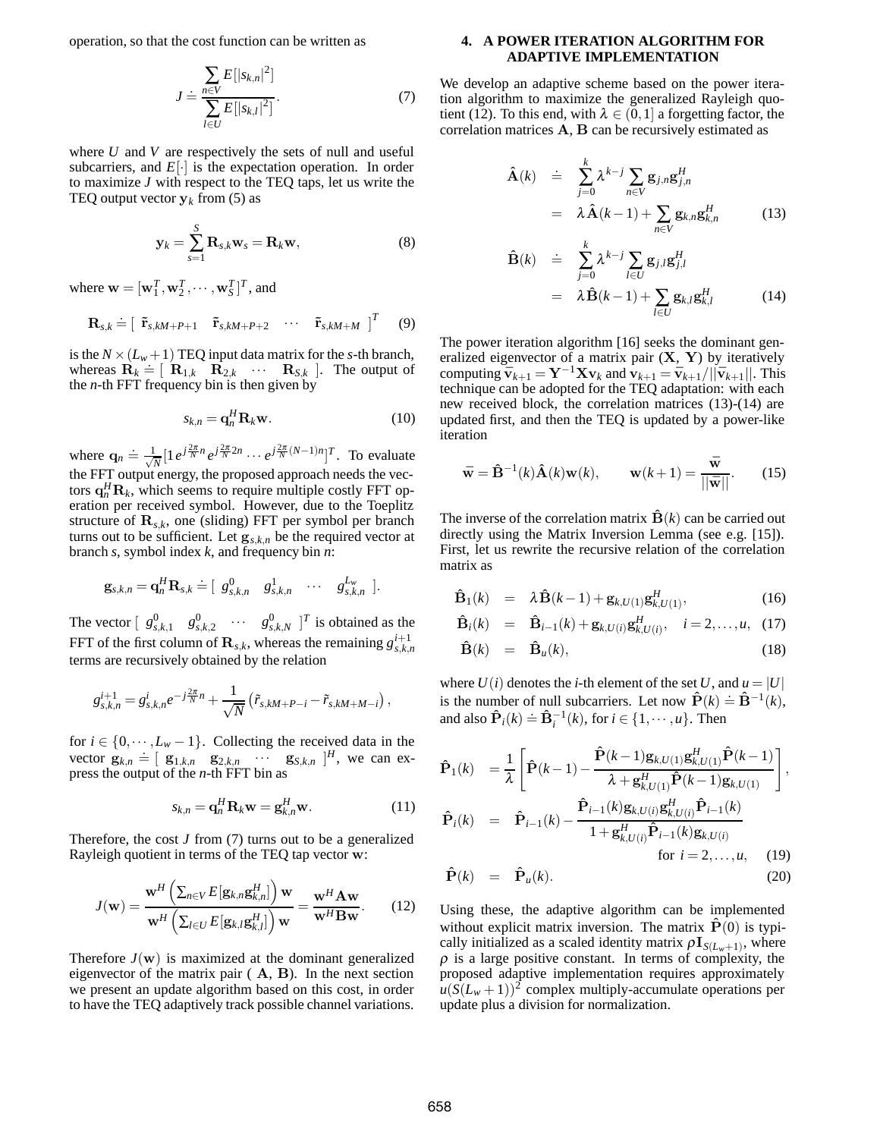operation, so that the cost function can be written as

$$
J \doteq \frac{\sum_{n \in V} E[|s_{k,n}|^2]}{\sum_{l \in U} E[|s_{k,l}|^2]}.
$$
 (7)

where *U* and *V* are respectively the sets of null and useful subcarriers, and  $E[\cdot]$  is the expectation operation. In order to maximize *J* with respect to the TEQ taps, let us write the TEQ output vector  $y_k$  from (5) as

$$
\mathbf{y}_k = \sum_{s=1}^S \mathbf{R}_{s,k} \mathbf{w}_s = \mathbf{R}_k \mathbf{w},
$$
 (8)

where  $\mathbf{w} = [\mathbf{w}_1^T, \mathbf{w}_2^T, \cdots, \mathbf{w}_S^T]^T$ , and

$$
\mathbf{R}_{s,k} \doteq \left[ \begin{array}{cccc} \tilde{\mathbf{r}}_{s,kM+P+1} & \tilde{\mathbf{r}}_{s,kM+P+2} & \cdots & \tilde{\mathbf{r}}_{s,kM+M} \end{array} \right]^T \qquad (9)
$$

is the  $N \times (L_w + 1)$  TEQ input data matrix for the *s*-th branch, whereas  $\mathbf{R}_k \doteq [\mathbf{R}_{1,k} \quad \mathbf{R}_{2,k} \quad \cdots \quad \mathbf{R}_{S,k}]$ . The output of the *n*-th FFT frequency bin is then given by the *n*-th FFT frequency bin is then given by

$$
s_{k,n} = \mathbf{q}_n^H \mathbf{R}_k \mathbf{w}.
$$
 (10)

where  $\mathbf{q}_n \doteq \frac{1}{\sqrt{N}} \left[ 1 e^{j\frac{2\pi}{N}n} e^{j\frac{2\pi}{N}2n} \cdots e^{j\frac{2\pi}{N}(N-1)n} \right]^T$ . To evaluate the FFT output energy, the proposed approach needs the vectors  $\mathbf{q}_n^H \mathbf{R}_k$ , which seems to require multiple costly FFT operation per received symbol. However, due to the Toenlitz eration per received symbol. However, due to the Toeplitz structure of  $\mathbf{R}_{s,k}$ , one (sliding) FFT per symbol per branch turns out to be sufficient. Let  $\mathbf{g}_{s,k,n}$  be the required vector at branch *s*, symbol index *k*, and frequency bin *n*:

$$
\mathbf{g}_{s,k,n} = \mathbf{q}_n^H \mathbf{R}_{s,k} \doteq [g_{s,k,n}^0 \quad g_{s,k,n}^1 \quad \cdots \quad g_{s,k,n}^{L_w}].
$$

The vector  $\begin{bmatrix} g_{s,k,1}^0 & g_{s,k,2}^0 & \cdots & g_{s,k,N}^0 \end{bmatrix}^T$  is obtained as the FFT of the first column of  $\mathbf{R}_{s,k}$ , whereas the remaining  $g_{s,k,n}^{i+1}$ terms are recursively obtained by the relation

$$
g_{s,k,n}^{i+1}=g_{s,k,n}^{i}e^{-j\frac{2\pi}{N}n}+\frac{1}{\sqrt{N}}\left(\tilde{r}_{s,kM+P-i}-\tilde{r}_{s,kM+M-i}\right),
$$

for  $i \in \{0, \dots, L_w - 1\}$ . Collecting the received data in the vector  $\mathbf{g}_{k,n} = \begin{bmatrix} \mathbf{g}_{1,k,n} & \mathbf{g}_{2,k,n} & \cdots & \mathbf{g}_{S,k,n} \end{bmatrix}^H$ , we can ex-<br>press the output of the *n*-th FFT bin as press the output of the *n*-th FFT bin as

$$
s_{k,n} = \mathbf{q}_n^H \mathbf{R}_k \mathbf{w} = \mathbf{g}_{k,n}^H \mathbf{w}.
$$
 (11)

Therefore, the cost *J* from (7) turns out to be a generalized Rayleigh quotient in terms of the TEQ tap vector **w**:

$$
J(\mathbf{w}) = \frac{\mathbf{w}^H \left( \sum_{n \in V} E[\mathbf{g}_{k,n} \mathbf{g}_{k,n}^H] \right) \mathbf{w}}{\mathbf{w}^H \left( \sum_{l \in U} E[\mathbf{g}_{k,l} \mathbf{g}_{k,l}^H] \right) \mathbf{w}} = \frac{\mathbf{w}^H \mathbf{A} \mathbf{w}}{\mathbf{w}^H \mathbf{B} \mathbf{w}}.
$$
 (12)

Therefore  $J(\mathbf{w})$  is maximized at the dominant generalized eigenvector of the matrix pair ( **A**, **B**). In the next section we present an update algorithm based on this cost, in order to have the TEQ adaptively track possible channel variations.

## **4. A POWER ITERATION ALGORITHM FOR ADAPTIVE IMPLEMENTATION**

We develop an adaptive scheme based on the power iteration algorithm to maximize the generalized Rayleigh quotient (12). To this end, with  $\lambda \in (0,1]$  a forgetting factor, the correlation matrices **A**, **B** can be recursively estimated as

$$
\hat{\mathbf{A}}(k) \quad \doteq \quad \sum_{j=0}^{k} \lambda^{k-j} \sum_{n \in V} \mathbf{g}_{j,n} \mathbf{g}_{j,n}^{H} \\
\qquad = \quad \lambda \hat{\mathbf{A}}(k-1) + \sum_{n \in V} \mathbf{g}_{k,n} \mathbf{g}_{k,n}^{H} \tag{13}
$$

$$
\hat{\mathbf{B}}(k) \doteq \sum_{j=0}^{k} \lambda^{k-j} \sum_{l \in U} \mathbf{g}_{j,l} \mathbf{g}_{j,l}^{H}
$$
\n
$$
= \lambda \hat{\mathbf{B}}(k-1) + \sum_{l \in U} \mathbf{g}_{k,l} \mathbf{g}_{k,l}^{H} \qquad (14)
$$

The power iteration algorithm [16] seeks the dominant generalized eigenvector of a matrix pair (**X**, **Y**) by iteratively computing  $\bar{\mathbf{v}}_{k+1} = \mathbf{Y}^{-1}\mathbf{X}\mathbf{v}_k$  and  $\mathbf{v}_{k+1} = \bar{\mathbf{v}}_{k+1}/||\bar{\mathbf{v}}_{k+1}||$ . This technique can be adopted for the TEQ adaptation: with each new received block, the correlation matrices (13)-(14) are updated first, and then the TEQ is updated by a power-like iteration

$$
\bar{\mathbf{w}} = \hat{\mathbf{B}}^{-1}(k)\hat{\mathbf{A}}(k)\mathbf{w}(k), \qquad \mathbf{w}(k+1) = \frac{\bar{\mathbf{w}}}{\|\bar{\mathbf{w}}\|}.
$$
 (15)

The inverse of the correlation matrix  $\hat{\mathbf{B}}(k)$  can be carried out directly using the Matrix Inversion Lemma (see e.g. [15]). First, let us rewrite the recursive relation of the correlation matrix as

$$
\hat{\mathbf{B}}_1(k) = \lambda \hat{\mathbf{B}}(k-1) + \mathbf{g}_{k,U(1)} \mathbf{g}_{k,U(1)}^H,
$$
\n(16)

$$
\hat{\mathbf{B}}_i(k) = \hat{\mathbf{B}}_{i-1}(k) + \mathbf{g}_{k,U(i)} \mathbf{g}_{k,U(i)}^H, \quad i = 2,...,u, \quad (17)
$$

$$
\hat{\mathbf{B}}(k) = \hat{\mathbf{B}}_u(k), \tag{18}
$$

where  $U(i)$  denotes the *i*-th element of the set U, and  $u = |U|$ is the number of null subcarriers. Let now  $\hat{\mathbf{P}}(k) \doteq \hat{\mathbf{B}}^{-1}(k)$ ,<br>and also  $\hat{\mathbf{P}}(k) \doteq \hat{\mathbf{R}}^{-1}(k)$ , for  $i \in \{1, ..., n\}$ . Then and also  $\hat{\mathbf{P}}_i(k) \doteq \hat{\mathbf{B}}_i^{-1}(k)$ , for  $i \in \{1, \dots, u\}$ . Then

$$
\hat{\mathbf{P}}_1(k) = \frac{1}{\lambda} \left[ \hat{\mathbf{P}}(k-1) - \frac{\hat{\mathbf{P}}(k-1) \mathbf{g}_{k,U(1)} \mathbf{g}_{k,U(1)}^H \hat{\mathbf{P}}(k-1)}{\lambda + \mathbf{g}_{k,U(1)}^H \hat{\mathbf{P}}(k-1) \mathbf{g}_{k,U(1)}} \right],
$$
\n
$$
\hat{\mathbf{P}}_i(k) = \hat{\mathbf{P}}_{i-1}(k) - \frac{\hat{\mathbf{P}}_{i-1}(k) \mathbf{g}_{k,U(i)} \mathbf{g}_{k,U(i)}^H \hat{\mathbf{P}}_{i-1}(k)}{1 + \mathbf{g}_{k,U(i)}^H \hat{\mathbf{P}}_{i-1}(k) \mathbf{g}_{k,U(i)}} \text{for } i = 2,...,u,
$$
\n(19)

$$
\hat{\mathbf{P}}(k) = \hat{\mathbf{P}}_u(k). \tag{20}
$$

Using these, the adaptive algorithm can be implemented without explicit matrix inversion. The matrix  $\hat{\mathbf{P}}(0)$  is typically initialized as a scaled identity matrix  $\rho I_{S(L_w+1)}$ , where  $\rho$  is a large positive constant. In terms of complexity, the proposed adaptive implementation requires approximately  $u(S(L_w+1))^2$  complex multiply-accumulate operations per update plus a division for normalization.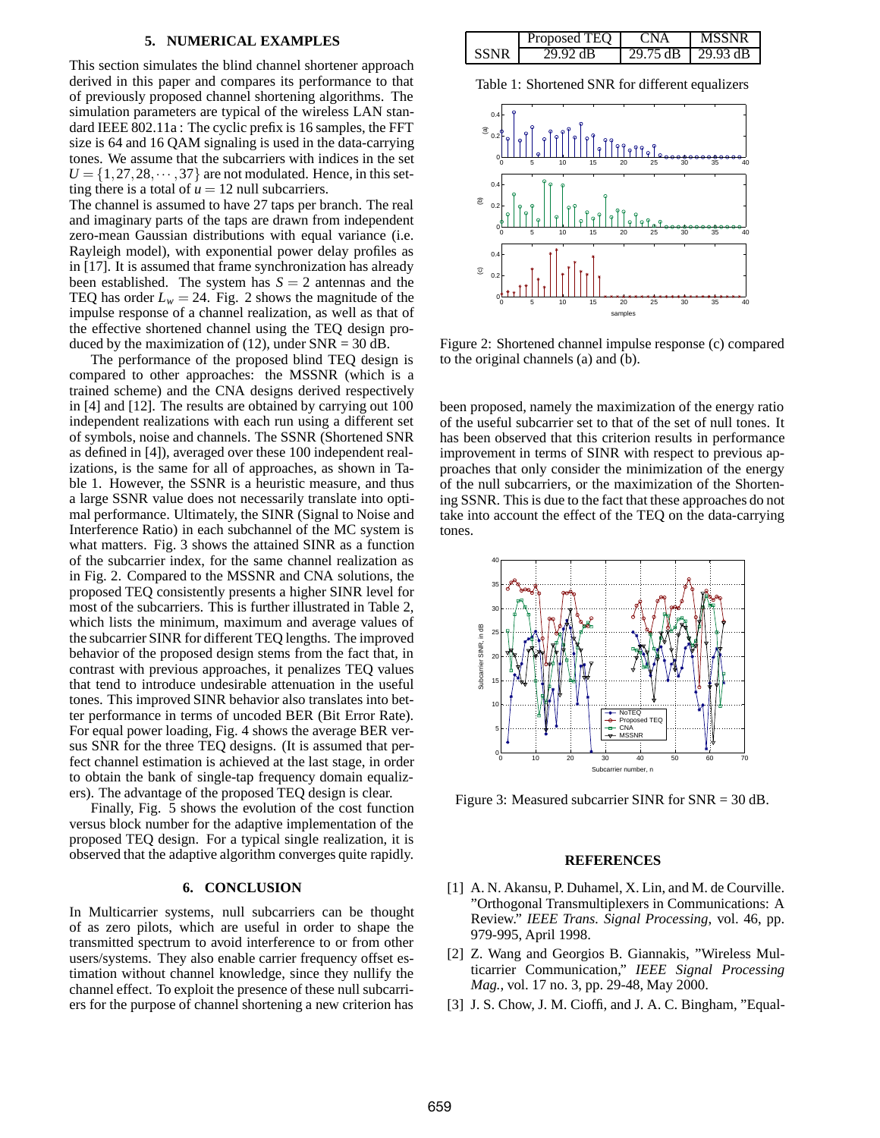#### **5. NUMERICAL EXAMPLES**

This section simulates the blind channel shortener approach derived in this paper and compares its performance to that of previously proposed channel shortening algorithms. The simulation parameters are typical of the wireless LAN standard IEEE 802.11a : The cyclic prefix is 16 samples, the FFT size is 64 and 16 QAM signaling is used in the data-carrying tones. We assume that the subcarriers with indices in the set  $U = \{1, 27, 28, \dots, 37\}$  are not modulated. Hence, in this setting there is a total of  $u = 12$  null subcarriers.

The channel is assumed to have 27 taps per branch. The real and imaginary parts of the taps are drawn from independent zero-mean Gaussian distributions with equal variance (i.e. Rayleigh model), with exponential power delay profiles as in [17]. It is assumed that frame synchronization has already been established. The system has  $S = 2$  antennas and the TEQ has order  $L_w = 24$ . Fig. 2 shows the magnitude of the impulse response of a channel realization, as well as that of the effective shortened channel using the TEQ design produced by the maximization of (12), under  $SNR = 30$  dB.

The performance of the proposed blind TEQ design is compared to other approaches: the MSSNR (which is a trained scheme) and the CNA designs derived respectively in [4] and [12]. The results are obtained by carrying out 100 independent realizations with each run using a different set of symbols, noise and channels. The SSNR (Shortened SNR as defined in [4]), averaged over these 100 independent realizations, is the same for all of approaches, as shown in Table 1. However, the SSNR is a heuristic measure, and thus a large SSNR value does not necessarily translate into optimal performance. Ultimately, the SINR (Signal to Noise and Interference Ratio) in each subchannel of the MC system is what matters. Fig. 3 shows the attained SINR as a function of the subcarrier index, for the same channel realization as in Fig. 2. Compared to the MSSNR and CNA solutions, the proposed TEQ consistently presents a higher SINR level for most of the subcarriers. This is further illustrated in Table 2, which lists the minimum, maximum and average values of the subcarrier SINR for different TEQ lengths. The improved behavior of the proposed design stems from the fact that, in contrast with previous approaches, it penalizes TEQ values that tend to introduce undesirable attenuation in the useful tones. This improved SINR behavior also translates into better performance in terms of uncoded BER (Bit Error Rate). For equal power loading, Fig. 4 shows the average BER versus SNR for the three TEQ designs. (It is assumed that perfect channel estimation is achieved at the last stage, in order to obtain the bank of single-tap frequency domain equalizers). The advantage of the proposed TEQ design is clear.

Finally, Fig. 5 shows the evolution of the cost function versus block number for the adaptive implementation of the proposed TEQ design. For a typical single realization, it is observed that the adaptive algorithm converges quite rapidly.

### **6. CONCLUSION**

In Multicarrier systems, null subcarriers can be thought of as zero pilots, which are useful in order to shape the transmitted spectrum to avoid interference to or from other users/systems. They also enable carrier frequency offset estimation without channel knowledge, since they nullify the channel effect. To exploit the presence of these null subcarriers for the purpose of channel shortening a new criterion has

|      | Proposed TEO | 'NA      | <b>MSSNR</b>        |
|------|--------------|----------|---------------------|
| SSNR | 29.92 dB     | 29.75 dB | $129.93 \text{ dB}$ |

Table 1: Shortened SNR for different equalizers



Figure 2: Shortened channel impulse response (c) compared to the original channels (a) and (b).

been proposed, namely the maximization of the energy ratio of the useful subcarrier set to that of the set of null tones. It has been observed that this criterion results in performance improvement in terms of SINR with respect to previous approaches that only consider the minimization of the energy of the null subcarriers, or the maximization of the Shortening SSNR. This is due to the fact that these approaches do not take into account the effect of the TEQ on the data-carrying tones.



Figure 3: Measured subcarrier SINR for SNR = 30 dB.

#### **REFERENCES**

- [1] A. N. Akansu, P. Duhamel, X. Lin, and M. de Courville. "Orthogonal Transmultiplexers in Communications: A Review." *IEEE Trans. Signal Processing*, vol. 46, pp. 979-995, April 1998.
- [2] Z. Wang and Georgios B. Giannakis, "Wireless Multicarrier Communication," *IEEE Signal Processing Mag.*, vol. 17 no. 3, pp. 29-48, May 2000.
- [3] J. S. Chow, J. M. Cioffi, and J. A. C. Bingham, "Equal-